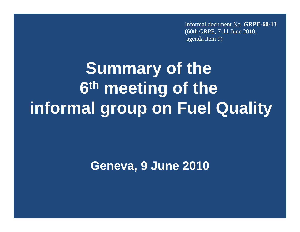Informal document No. **GRPE-60-13**(60th GRPE, 7-11 June 2010, agenda item 9)

## **Summary of the 6th meeting of the informal group on Fuel Quality**

**Geneva, 9 June 2010**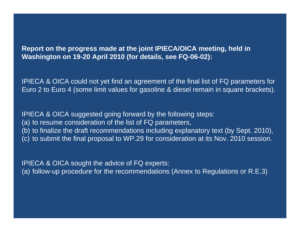## **Report on the progress made at the joint IPIECA/OICA meeting, held in Washington on 19-20 April 2010 (for details, see FQ-06-02):**

IPIECA & OICA could not yet find an agreement of the final list of FQ parameters for Euro 2 to Euro 4 (some limit values for gasoline & diesel remain in square brackets).

IPIECA & OICA suggested going forward by the following steps: (a) to resume consideration of the list of FQ parameters, (b) to finalize the draft recommendations including explanatory text (by Sept. 2010), (c) to submit the final proposal to WP.29 for consideration at its Nov. 2010 session.

IPIECA & OICA sought the advice of FQ experts: (a) follow-up procedure for the recommendations (Annex to Regulations or R.E.3)